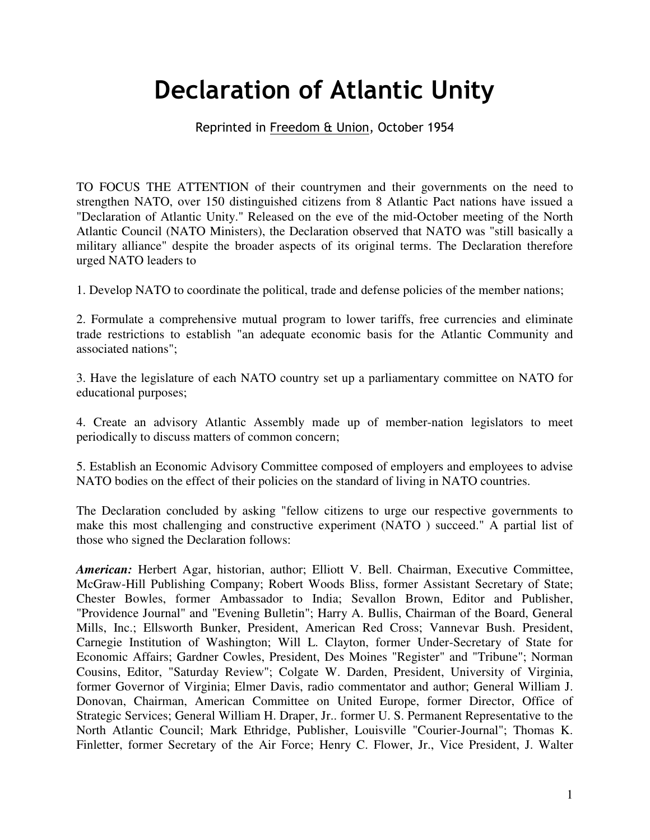## Declaration of Atlantic Unity

## Reprinted in Freedom & Union, October 1954

TO FOCUS THE ATTENTION of their countrymen and their governments on the need to strengthen NATO, over 150 distinguished citizens from 8 Atlantic Pact nations have issued a "Declaration of Atlantic Unity." Released on the eve of the mid-October meeting of the North Atlantic Council (NATO Ministers), the Declaration observed that NATO was "still basically a military alliance" despite the broader aspects of its original terms. The Declaration therefore urged NATO leaders to

1. Develop NATO to coordinate the political, trade and defense policies of the member nations;

2. Formulate a comprehensive mutual program to lower tariffs, free currencies and eliminate trade restrictions to establish "an adequate economic basis for the Atlantic Community and associated nations";

3. Have the legislature of each NATO country set up a parliamentary committee on NATO for educational purposes;

4. Create an advisory Atlantic Assembly made up of member-nation legislators to meet periodically to discuss matters of common concern;

5. Establish an Economic Advisory Committee composed of employers and employees to advise NATO bodies on the effect of their policies on the standard of living in NATO countries.

The Declaration concluded by asking "fellow citizens to urge our respective governments to make this most challenging and constructive experiment (NATO ) succeed." A partial list of those who signed the Declaration follows:

*American:* Herbert Agar, historian, author; Elliott V. Bell. Chairman, Executive Committee, McGraw-Hill Publishing Company; Robert Woods Bliss, former Assistant Secretary of State; Chester Bowles, former Ambassador to India; Sevallon Brown, Editor and Publisher, "Providence Journal" and "Evening Bulletin"; Harry A. Bullis, Chairman of the Board, General Mills, Inc.; Ellsworth Bunker, President, American Red Cross; Vannevar Bush. President, Carnegie Institution of Washington; Will L. Clayton, former Under-Secretary of State for Economic Affairs; Gardner Cowles, President, Des Moines "Register" and "Tribune"; Norman Cousins, Editor, "Saturday Review"; Colgate W. Darden, President, University of Virginia, former Governor of Virginia; Elmer Davis, radio commentator and author; General William J. Donovan, Chairman, American Committee on United Europe, former Director, Office of Strategic Services; General William H. Draper, Jr.. former U. S. Permanent Representative to the North Atlantic Council; Mark Ethridge, Publisher, Louisville "Courier-Journal"; Thomas K. Finletter, former Secretary of the Air Force; Henry C. Flower, Jr., Vice President, J. Walter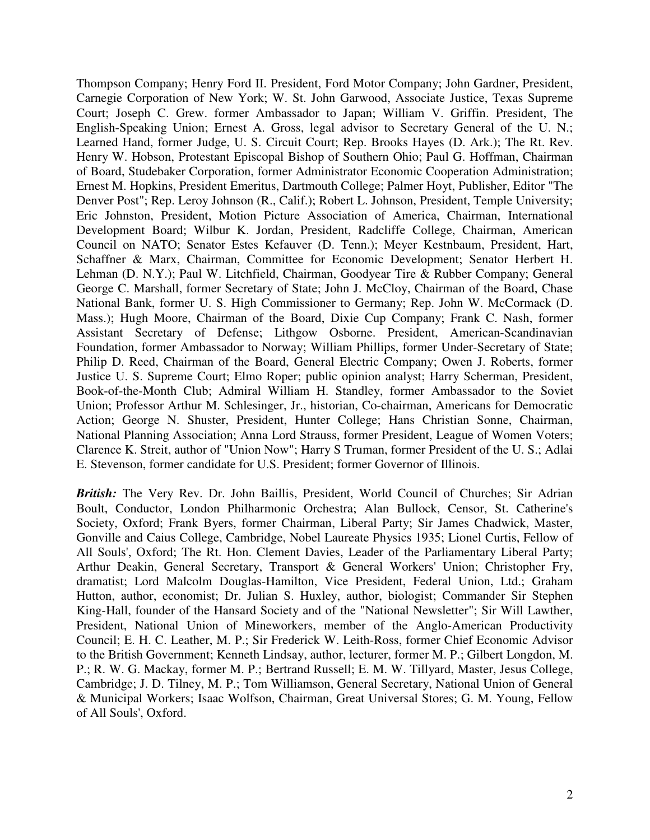Thompson Company; Henry Ford II. President, Ford Motor Company; John Gardner, President, Carnegie Corporation of New York; W. St. John Garwood, Associate Justice, Texas Supreme Court; Joseph C. Grew. former Ambassador to Japan; William V. Griffin. President, The English-Speaking Union; Ernest A. Gross, legal advisor to Secretary General of the U. N.; Learned Hand, former Judge, U. S. Circuit Court; Rep. Brooks Hayes (D. Ark.); The Rt. Rev. Henry W. Hobson, Protestant Episcopal Bishop of Southern Ohio; Paul G. Hoffman, Chairman of Board, Studebaker Corporation, former Administrator Economic Cooperation Administration; Ernest M. Hopkins, President Emeritus, Dartmouth College; Palmer Hoyt, Publisher, Editor "The Denver Post"; Rep. Leroy Johnson (R., Calif.); Robert L. Johnson, President, Temple University; Eric Johnston, President, Motion Picture Association of America, Chairman, International Development Board; Wilbur K. Jordan, President, Radcliffe College, Chairman, American Council on NATO; Senator Estes Kefauver (D. Tenn.); Meyer Kestnbaum, President, Hart, Schaffner & Marx, Chairman, Committee for Economic Development; Senator Herbert H. Lehman (D. N.Y.); Paul W. Litchfield, Chairman, Goodyear Tire & Rubber Company; General George C. Marshall, former Secretary of State; John J. McCloy, Chairman of the Board, Chase National Bank, former U. S. High Commissioner to Germany; Rep. John W. McCormack (D. Mass.); Hugh Moore, Chairman of the Board, Dixie Cup Company; Frank C. Nash, former Assistant Secretary of Defense; Lithgow Osborne. President, American-Scandinavian Foundation, former Ambassador to Norway; William Phillips, former Under-Secretary of State; Philip D. Reed, Chairman of the Board, General Electric Company; Owen J. Roberts, former Justice U. S. Supreme Court; Elmo Roper; public opinion analyst; Harry Scherman, President, Book-of-the-Month Club; Admiral William H. Standley, former Ambassador to the Soviet Union; Professor Arthur M. Schlesinger, Jr., historian, Co-chairman, Americans for Democratic Action; George N. Shuster, President, Hunter College; Hans Christian Sonne, Chairman, National Planning Association; Anna Lord Strauss, former President, League of Women Voters; Clarence K. Streit, author of "Union Now"; Harry S Truman, former President of the U. S.; Adlai E. Stevenson, former candidate for U.S. President; former Governor of Illinois.

*British:* The Very Rev. Dr. John Baillis, President, World Council of Churches; Sir Adrian Boult, Conductor, London Philharmonic Orchestra; Alan Bullock, Censor, St. Catherine's Society, Oxford; Frank Byers, former Chairman, Liberal Party; Sir James Chadwick, Master, Gonville and Caius College, Cambridge, Nobel Laureate Physics 1935; Lionel Curtis, Fellow of All Souls', Oxford; The Rt. Hon. Clement Davies, Leader of the Parliamentary Liberal Party; Arthur Deakin, General Secretary, Transport & General Workers' Union; Christopher Fry, dramatist; Lord Malcolm Douglas-Hamilton, Vice President, Federal Union, Ltd.; Graham Hutton, author, economist; Dr. Julian S. Huxley, author, biologist; Commander Sir Stephen King-Hall, founder of the Hansard Society and of the "National Newsletter"; Sir Will Lawther, President, National Union of Mineworkers, member of the Anglo-American Productivity Council; E. H. C. Leather, M. P.; Sir Frederick W. Leith-Ross, former Chief Economic Advisor to the British Government; Kenneth Lindsay, author, lecturer, former M. P.; Gilbert Longdon, M. P.; R. W. G. Mackay, former M. P.; Bertrand Russell; E. M. W. Tillyard, Master, Jesus College, Cambridge; J. D. Tilney, M. P.; Tom Williamson, General Secretary, National Union of General & Municipal Workers; Isaac Wolfson, Chairman, Great Universal Stores; G. M. Young, Fellow of All Souls', Oxford.